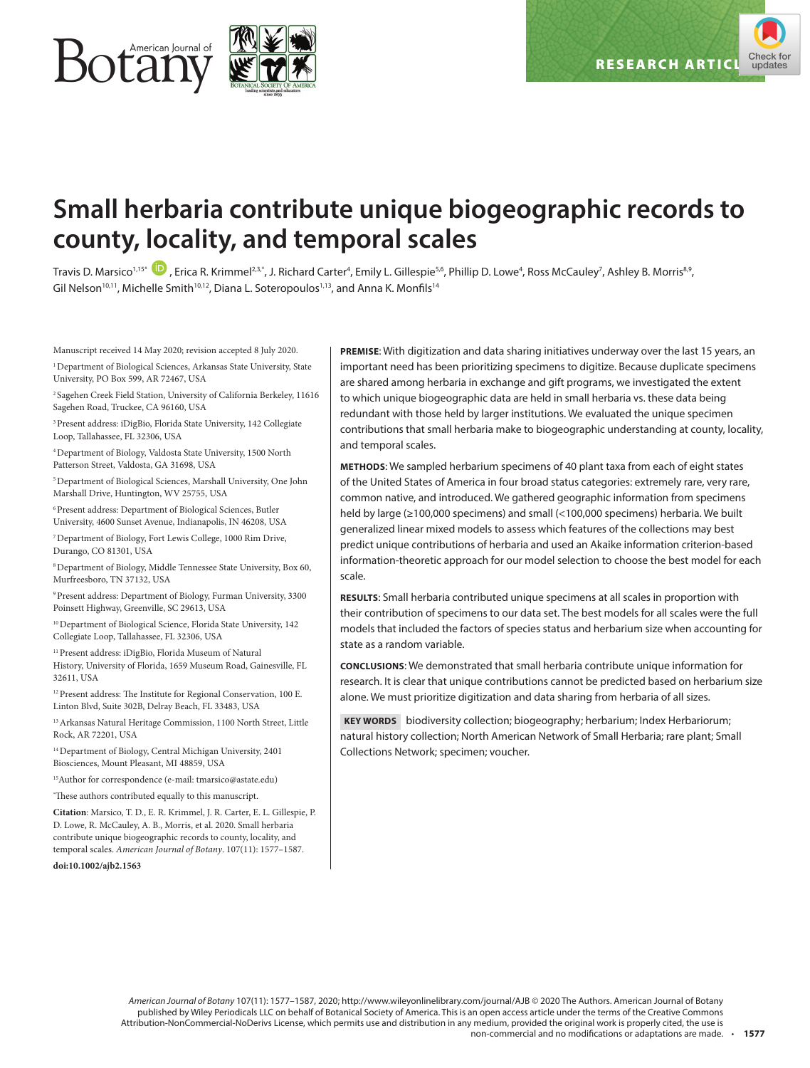

# **Small herbaria contribute unique biogeographic records to county, locality, and temporal scales**

TravisD. Marsico<sup>1,15\*</sup> (D), Erica R. Krimmel<sup>2,3,\*</sup>, J. Richard Carter<sup>4</sup>, Emily L. Gillespie<sup>5,6</sup>, Phillip D. Lowe<sup>4</sup>, Ross McCauley<sup>7</sup>, Ashley B. Morris<sup>8,9</sup>, Gil Nelson<sup>10,11</sup>, Michelle Smith<sup>10,12</sup>, Diana L. Soteropoulos<sup>1,13</sup>, and Anna K. Monfils<sup>14</sup>

Manuscript received 14 May 2020; revision accepted 8 July 2020.

<sup>1</sup> Department of Biological Sciences, Arkansas State University, State University, PO Box 599, AR 72467, USA

2 Sagehen Creek Field Station, University of California Berkeley, 11616 Sagehen Road, Truckee, CA 96160, USA

3 Present address: iDigBio, Florida State University, 142 Collegiate Loop, Tallahassee, FL 32306, USA

4 Department of Biology, Valdosta State University, 1500 North Patterson Street, Valdosta, GA 31698, USA

5 Department of Biological Sciences, Marshall University, One John Marshall Drive, Huntington, WV 25755, USA

 $^{\rm 6}$  Present address: Department of Biological Sciences, Butler University, 4600 Sunset Avenue, Indianapolis, IN 46208, USA

7 Department of Biology, Fort Lewis College, 1000 Rim Drive, Durango, CO 81301, USA

8 Department of Biology, Middle Tennessee State University, Box 60, Murfreesboro, TN 37132, USA

9 Present address: Department of Biology, Furman University, 3300 Poinsett Highway, Greenville, SC 29613, USA

10 Department of Biological Science, Florida State University, 142 Collegiate Loop, Tallahassee, FL 32306, USA

 $^{\rm 11}$  Present address: iDigBio, Florida Museum of Natural History, University of Florida, 1659 Museum Road, Gainesville, FL 32611, USA

12 Present address: The Institute for Regional Conservation, 100 E. Linton Blvd, Suite 302B, Delray Beach, FL 33483, USA

13 Arkansas Natural Heritage Commission, 1100 North Street, Little Rock, AR 72201, USA

14 Department of Biology, Central Michigan University, 2401 Biosciences, Mount Pleasant, MI 48859, USA

15Author for correspondence (e-mail: [tmarsico@astate.edu](mailto:tmarsico@astate.edu))

\* These authors contributed equally to this manuscript.

**Citation**: Marsico, T. D., E. R. Krimmel, J. R. Carter, E. L. Gillespie, P. D. Lowe, R. McCauley, A. B., Morris, et al. 2020. Small herbaria contribute unique biogeographic records to county, locality, and temporal scales. *American Journal of Botany*. 107(11): 1577–1587.

**doi:10.1002/ajb2.1563**

**PREMISE**: With digitization and data sharing initiatives underway over the last 15 years, an important need has been prioritizing specimens to digitize. Because duplicate specimens are shared among herbaria in exchange and gift programs, we investigated the extent to which unique biogeographic data are held in small herbaria vs. these data being redundant with those held by larger institutions. We evaluated the unique specimen contributions that small herbaria make to biogeographic understanding at county, locality, and temporal scales.

**METHODS**: We sampled herbarium specimens of 40 plant taxa from each of eight states of the United States of America in four broad status categories: extremely rare, very rare, common native, and introduced. We gathered geographic information from specimens held by large (≥100,000 specimens) and small (<100,000 specimens) herbaria. We built generalized linear mixed models to assess which features of the collections may best predict unique contributions of herbaria and used an Akaike information criterion-based information-theoretic approach for our model selection to choose the best model for each scale.

**RESULTS**: Small herbaria contributed unique specimens at all scales in proportion with their contribution of specimens to our data set. The best models for all scales were the full models that included the factors of species status and herbarium size when accounting for state as a random variable.

**CONCLUSIONS**: We demonstrated that small herbaria contribute unique information for research. It is clear that unique contributions cannot be predicted based on herbarium size alone. We must prioritize digitization and data sharing from herbaria of all sizes.

 **KEY WORDS** biodiversity collection; biogeography; herbarium; Index Herbariorum; natural history collection; North American Network of Small Herbaria; rare plant; Small Collections Network; specimen; voucher.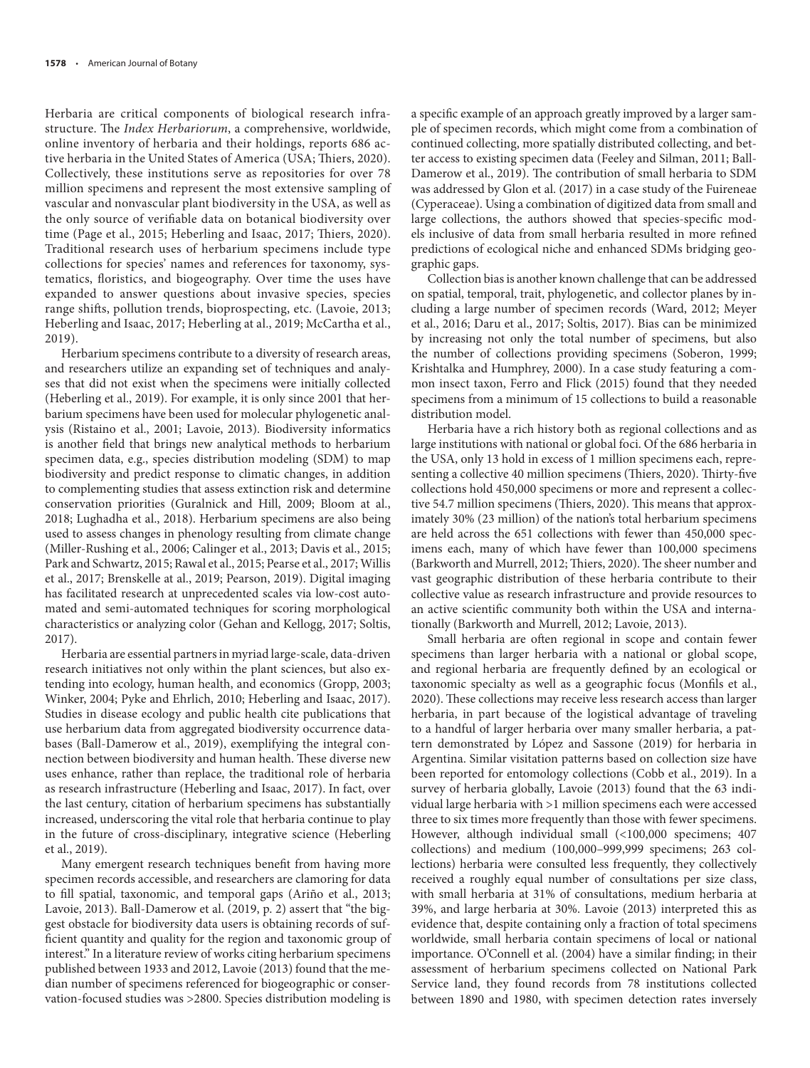Herbaria are critical components of biological research infrastructure. The *Index Herbariorum*, a comprehensive, worldwide, online inventory of herbaria and their holdings, reports 686 active herbaria in the United States of America (USA; Thiers, 2020). Collectively, these institutions serve as repositories for over 78 million specimens and represent the most extensive sampling of vascular and nonvascular plant biodiversity in the USA, as well as the only source of verifiable data on botanical biodiversity over time (Page et al., 2015; Heberling and Isaac, 2017; Thiers, 2020). Traditional research uses of herbarium specimens include type collections for species' names and references for taxonomy, systematics, floristics, and biogeography. Over time the uses have expanded to answer questions about invasive species, species range shifts, pollution trends, bioprospecting, etc. (Lavoie, 2013; Heberling and Isaac, 2017; Heberling at al., 2019; McCartha et al., 2019).

Herbarium specimens contribute to a diversity of research areas, and researchers utilize an expanding set of techniques and analyses that did not exist when the specimens were initially collected (Heberling et al., 2019). For example, it is only since 2001 that herbarium specimens have been used for molecular phylogenetic analysis (Ristaino et al., 2001; Lavoie, 2013). Biodiversity informatics is another field that brings new analytical methods to herbarium specimen data, e.g., species distribution modeling (SDM) to map biodiversity and predict response to climatic changes, in addition to complementing studies that assess extinction risk and determine conservation priorities (Guralnick and Hill, 2009; Bloom at al., 2018; Lughadha et al., 2018). Herbarium specimens are also being used to assess changes in phenology resulting from climate change (Miller-Rushing et al., 2006; Calinger et al., 2013; Davis et al., 2015; Park and Schwartz, 2015; Rawal et al., 2015; Pearse et al., 2017; Willis et al., 2017; Brenskelle at al., 2019; Pearson, 2019). Digital imaging has facilitated research at unprecedented scales via low-cost automated and semi-automated techniques for scoring morphological characteristics or analyzing color (Gehan and Kellogg, 2017; Soltis, 2017).

Herbaria are essential partners in myriad large-scale, data-driven research initiatives not only within the plant sciences, but also extending into ecology, human health, and economics (Gropp, 2003; Winker, 2004; Pyke and Ehrlich, 2010; Heberling and Isaac, 2017). Studies in disease ecology and public health cite publications that use herbarium data from aggregated biodiversity occurrence databases (Ball-Damerow et al., 2019), exemplifying the integral connection between biodiversity and human health. These diverse new uses enhance, rather than replace, the traditional role of herbaria as research infrastructure (Heberling and Isaac, 2017). In fact, over the last century, citation of herbarium specimens has substantially increased, underscoring the vital role that herbaria continue to play in the future of cross-disciplinary, integrative science (Heberling et al., 2019).

Many emergent research techniques benefit from having more specimen records accessible, and researchers are clamoring for data to fill spatial, taxonomic, and temporal gaps (Ariño et al., 2013; Lavoie, 2013). Ball-Damerow et al. (2019, p. 2) assert that "the biggest obstacle for biodiversity data users is obtaining records of sufficient quantity and quality for the region and taxonomic group of interest." In a literature review of works citing herbarium specimens published between 1933 and 2012, Lavoie (2013) found that the median number of specimens referenced for biogeographic or conservation-focused studies was >2800. Species distribution modeling is

a specific example of an approach greatly improved by a larger sample of specimen records, which might come from a combination of continued collecting, more spatially distributed collecting, and better access to existing specimen data (Feeley and Silman, 2011; Ball-Damerow et al., 2019). The contribution of small herbaria to SDM was addressed by Glon et al. (2017) in a case study of the Fuireneae (Cyperaceae). Using a combination of digitized data from small and large collections, the authors showed that species-specific models inclusive of data from small herbaria resulted in more refined predictions of ecological niche and enhanced SDMs bridging geographic gaps.

Collection bias is another known challenge that can be addressed on spatial, temporal, trait, phylogenetic, and collector planes by including a large number of specimen records (Ward, 2012; Meyer et al., 2016; Daru et al., 2017; Soltis, 2017). Bias can be minimized by increasing not only the total number of specimens, but also the number of collections providing specimens (Soberon, 1999; Krishtalka and Humphrey, 2000). In a case study featuring a common insect taxon, Ferro and Flick (2015) found that they needed specimens from a minimum of 15 collections to build a reasonable distribution model.

Herbaria have a rich history both as regional collections and as large institutions with national or global foci. Of the 686 herbaria in the USA, only 13 hold in excess of 1 million specimens each, representing a collective 40 million specimens (Thiers, 2020). Thirty-five collections hold 450,000 specimens or more and represent a collective 54.7 million specimens (Thiers, 2020). This means that approximately 30% (23 million) of the nation's total herbarium specimens are held across the 651 collections with fewer than 450,000 specimens each, many of which have fewer than 100,000 specimens (Barkworth and Murrell, 2012; Thiers, 2020). The sheer number and vast geographic distribution of these herbaria contribute to their collective value as research infrastructure and provide resources to an active scientific community both within the USA and internationally (Barkworth and Murrell, 2012; Lavoie, 2013).

Small herbaria are often regional in scope and contain fewer specimens than larger herbaria with a national or global scope, and regional herbaria are frequently defined by an ecological or taxonomic specialty as well as a geographic focus (Monfils et al., 2020). These collections may receive less research access than larger herbaria, in part because of the logistical advantage of traveling to a handful of larger herbaria over many smaller herbaria, a pattern demonstrated by López and Sassone (2019) for herbaria in Argentina. Similar visitation patterns based on collection size have been reported for entomology collections (Cobb et al., 2019). In a survey of herbaria globally, Lavoie (2013) found that the 63 individual large herbaria with >1 million specimens each were accessed three to six times more frequently than those with fewer specimens. However, although individual small (<100,000 specimens; 407 collections) and medium (100,000–999,999 specimens; 263 collections) herbaria were consulted less frequently, they collectively received a roughly equal number of consultations per size class, with small herbaria at 31% of consultations, medium herbaria at 39%, and large herbaria at 30%. Lavoie (2013) interpreted this as evidence that, despite containing only a fraction of total specimens worldwide, small herbaria contain specimens of local or national importance. O'Connell et al. (2004) have a similar finding; in their assessment of herbarium specimens collected on National Park Service land, they found records from 78 institutions collected between 1890 and 1980, with specimen detection rates inversely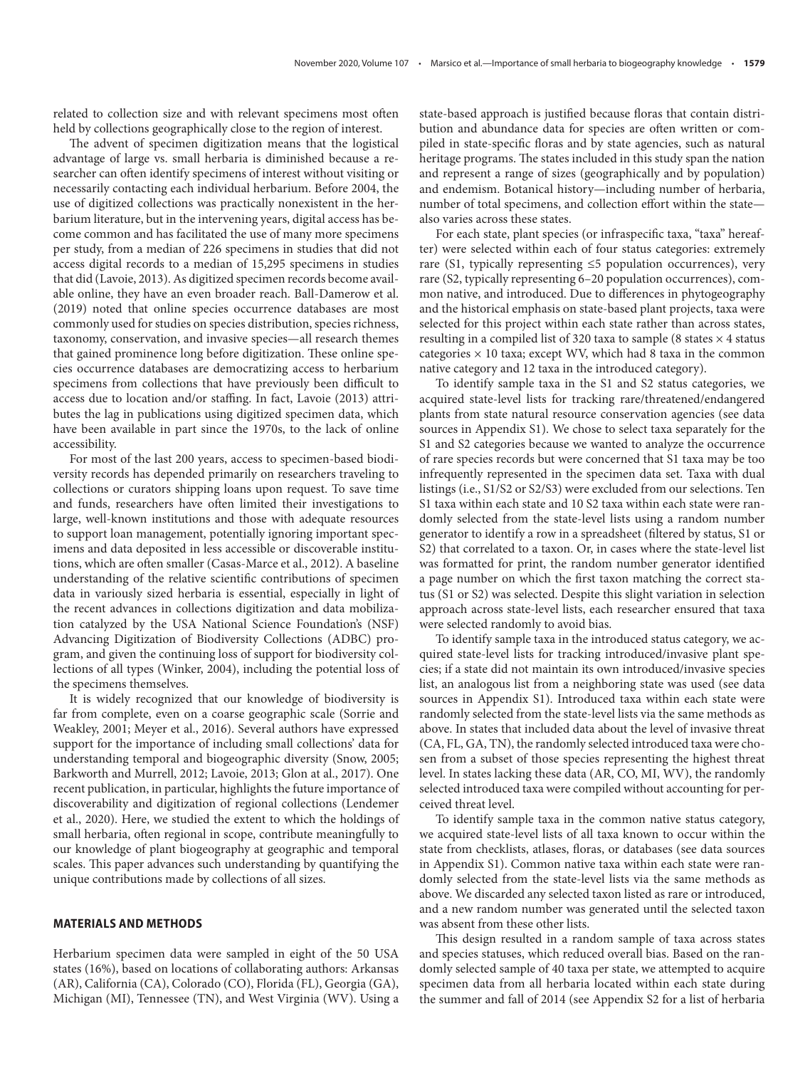related to collection size and with relevant specimens most often held by collections geographically close to the region of interest.

The advent of specimen digitization means that the logistical advantage of large vs. small herbaria is diminished because a researcher can often identify specimens of interest without visiting or necessarily contacting each individual herbarium. Before 2004, the use of digitized collections was practically nonexistent in the herbarium literature, but in the intervening years, digital access has become common and has facilitated the use of many more specimens per study, from a median of 226 specimens in studies that did not access digital records to a median of 15,295 specimens in studies that did (Lavoie, 2013). As digitized specimen records become available online, they have an even broader reach. Ball-Damerow et al. (2019) noted that online species occurrence databases are most commonly used for studies on species distribution, species richness, taxonomy, conservation, and invasive species—all research themes that gained prominence long before digitization. These online species occurrence databases are democratizing access to herbarium specimens from collections that have previously been difficult to access due to location and/or staffing. In fact, Lavoie (2013) attributes the lag in publications using digitized specimen data, which have been available in part since the 1970s, to the lack of online accessibility.

For most of the last 200 years, access to specimen-based biodiversity records has depended primarily on researchers traveling to collections or curators shipping loans upon request. To save time and funds, researchers have often limited their investigations to large, well-known institutions and those with adequate resources to support loan management, potentially ignoring important specimens and data deposited in less accessible or discoverable institutions, which are often smaller (Casas-Marce et al., 2012). A baseline understanding of the relative scientific contributions of specimen data in variously sized herbaria is essential, especially in light of the recent advances in collections digitization and data mobilization catalyzed by the USA National Science Foundation's (NSF) Advancing Digitization of Biodiversity Collections (ADBC) program, and given the continuing loss of support for biodiversity collections of all types (Winker, 2004), including the potential loss of the specimens themselves.

It is widely recognized that our knowledge of biodiversity is far from complete, even on a coarse geographic scale (Sorrie and Weakley, 2001; Meyer et al., 2016). Several authors have expressed support for the importance of including small collections' data for understanding temporal and biogeographic diversity (Snow, 2005; Barkworth and Murrell, 2012; Lavoie, 2013; Glon at al., 2017). One recent publication, in particular, highlights the future importance of discoverability and digitization of regional collections (Lendemer et al., 2020). Here, we studied the extent to which the holdings of small herbaria, often regional in scope, contribute meaningfully to our knowledge of plant biogeography at geographic and temporal scales. This paper advances such understanding by quantifying the unique contributions made by collections of all sizes.

## **MATERIALS AND METHODS**

Herbarium specimen data were sampled in eight of the 50 USA states (16%), based on locations of collaborating authors: Arkansas (AR), California (CA), Colorado (CO), Florida (FL), Georgia (GA), Michigan (MI), Tennessee (TN), and West Virginia (WV). Using a

state-based approach is justified because floras that contain distribution and abundance data for species are often written or compiled in state-specific floras and by state agencies, such as natural heritage programs. The states included in this study span the nation and represent a range of sizes (geographically and by population) and endemism. Botanical history—including number of herbaria, number of total specimens, and collection effort within the state also varies across these states.

For each state, plant species (or infraspecific taxa, "taxa" hereafter) were selected within each of four status categories: extremely rare (S1, typically representing  $\leq$ 5 population occurrences), very rare (S2, typically representing 6–20 population occurrences), common native, and introduced. Due to differences in phytogeography and the historical emphasis on state-based plant projects, taxa were selected for this project within each state rather than across states, resulting in a compiled list of 320 taxa to sample (8 states  $\times$  4 status categories  $\times$  10 taxa; except WV, which had 8 taxa in the common native category and 12 taxa in the introduced category).

To identify sample taxa in the S1 and S2 status categories, we acquired state-level lists for tracking rare/threatened/endangered plants from state natural resource conservation agencies (see data sources in Appendix S1). We chose to select taxa separately for the S1 and S2 categories because we wanted to analyze the occurrence of rare species records but were concerned that S1 taxa may be too infrequently represented in the specimen data set. Taxa with dual listings (i.e., S1/S2 or S2/S3) were excluded from our selections. Ten S1 taxa within each state and 10 S2 taxa within each state were randomly selected from the state-level lists using a random number generator to identify a row in a spreadsheet (filtered by status, S1 or S2) that correlated to a taxon. Or, in cases where the state-level list was formatted for print, the random number generator identified a page number on which the first taxon matching the correct status (S1 or S2) was selected. Despite this slight variation in selection approach across state-level lists, each researcher ensured that taxa were selected randomly to avoid bias.

To identify sample taxa in the introduced status category, we acquired state-level lists for tracking introduced/invasive plant species; if a state did not maintain its own introduced/invasive species list, an analogous list from a neighboring state was used (see data sources in Appendix S1). Introduced taxa within each state were randomly selected from the state-level lists via the same methods as above. In states that included data about the level of invasive threat (CA, FL, GA, TN), the randomly selected introduced taxa were chosen from a subset of those species representing the highest threat level. In states lacking these data (AR, CO, MI, WV), the randomly selected introduced taxa were compiled without accounting for perceived threat level.

To identify sample taxa in the common native status category, we acquired state-level lists of all taxa known to occur within the state from checklists, atlases, floras, or databases (see data sources in Appendix S1). Common native taxa within each state were randomly selected from the state-level lists via the same methods as above. We discarded any selected taxon listed as rare or introduced, and a new random number was generated until the selected taxon was absent from these other lists.

This design resulted in a random sample of taxa across states and species statuses, which reduced overall bias. Based on the randomly selected sample of 40 taxa per state, we attempted to acquire specimen data from all herbaria located within each state during the summer and fall of 2014 (see Appendix S2 for a list of herbaria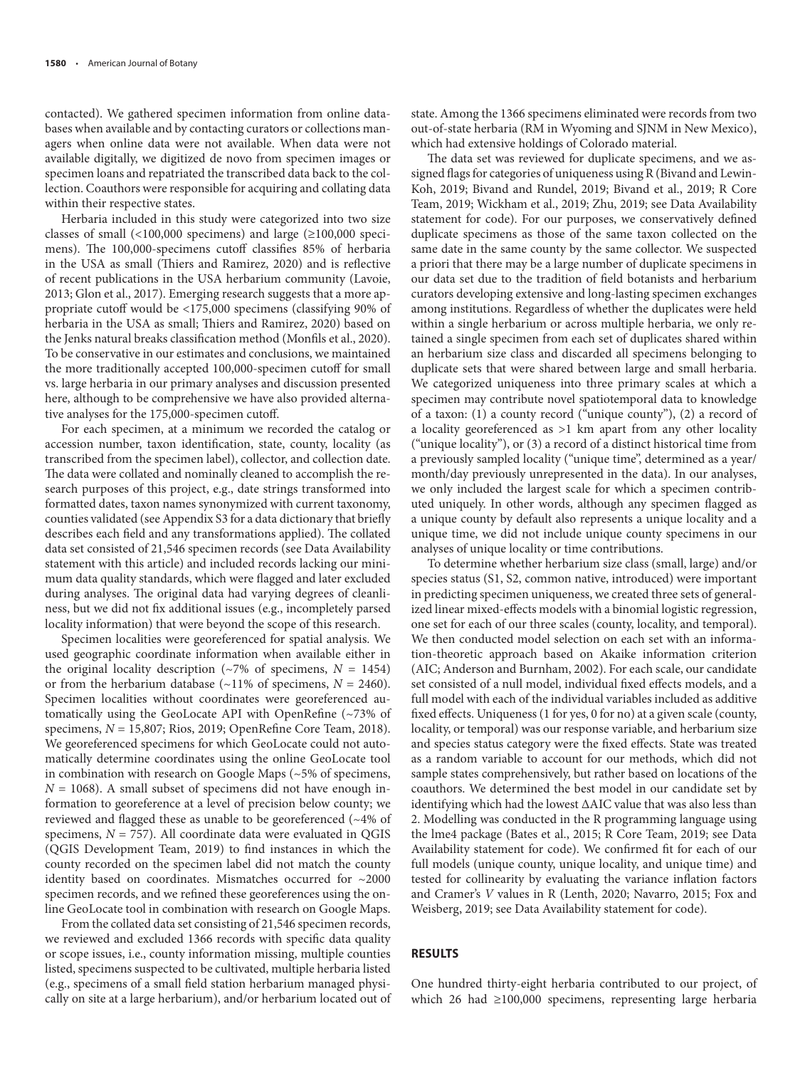contacted). We gathered specimen information from online databases when available and by contacting curators or collections managers when online data were not available. When data were not available digitally, we digitized de novo from specimen images or specimen loans and repatriated the transcribed data back to the collection. Coauthors were responsible for acquiring and collating data within their respective states.

Herbaria included in this study were categorized into two size classes of small  $($ <100,000 specimens) and large  $($ ≥100,000 specimens). The 100,000-specimens cutoff classifies 85% of herbaria in the USA as small (Thiers and Ramirez, 2020) and is reflective of recent publications in the USA herbarium community (Lavoie, 2013; Glon et al., 2017). Emerging research suggests that a more appropriate cutoff would be <175,000 specimens (classifying 90% of herbaria in the USA as small; Thiers and Ramirez, 2020) based on the Jenks natural breaks classification method (Monfils et al., 2020). To be conservative in our estimates and conclusions, we maintained the more traditionally accepted 100,000-specimen cutoff for small vs. large herbaria in our primary analyses and discussion presented here, although to be comprehensive we have also provided alternative analyses for the 175,000-specimen cutoff.

For each specimen, at a minimum we recorded the catalog or accession number, taxon identification, state, county, locality (as transcribed from the specimen label), collector, and collection date. The data were collated and nominally cleaned to accomplish the research purposes of this project, e.g., date strings transformed into formatted dates, taxon names synonymized with current taxonomy, counties validated (see Appendix S3 for a data dictionary that briefly describes each field and any transformations applied). The collated data set consisted of 21,546 specimen records (see Data Availability statement with this article) and included records lacking our minimum data quality standards, which were flagged and later excluded during analyses. The original data had varying degrees of cleanliness, but we did not fix additional issues (e.g., incompletely parsed locality information) that were beyond the scope of this research.

Specimen localities were georeferenced for spatial analysis. We used geographic coordinate information when available either in the original locality description  $(\sim 7\%$  of specimens,  $N = 1454$ ) or from the herbarium database  $(\sim 11\%$  of specimens,  $N = 2460$ ). Specimen localities without coordinates were georeferenced automatically using the GeoLocate API with OpenRefine (~73% of specimens, *N* = 15,807; Rios, 2019; OpenRefine Core Team, 2018). We georeferenced specimens for which GeoLocate could not automatically determine coordinates using the online GeoLocate tool in combination with research on Google Maps (~5% of specimens,  $N = 1068$ ). A small subset of specimens did not have enough information to georeference at a level of precision below county; we reviewed and flagged these as unable to be georeferenced (~4% of specimens,  $N = 757$ ). All coordinate data were evaluated in QGIS (QGIS Development Team, 2019) to find instances in which the county recorded on the specimen label did not match the county identity based on coordinates. Mismatches occurred for ~2000 specimen records, and we refined these georeferences using the online GeoLocate tool in combination with research on Google Maps.

From the collated data set consisting of 21,546 specimen records, we reviewed and excluded 1366 records with specific data quality or scope issues, i.e., county information missing, multiple counties listed, specimens suspected to be cultivated, multiple herbaria listed (e.g., specimens of a small field station herbarium managed physically on site at a large herbarium), and/or herbarium located out of

state. Among the 1366 specimens eliminated were records from two out-of-state herbaria (RM in Wyoming and SJNM in New Mexico), which had extensive holdings of Colorado material.

The data set was reviewed for duplicate specimens, and we assigned flags for categories of uniqueness using R (Bivand and Lewin-Koh, 2019; Bivand and Rundel, 2019; Bivand et al., 2019; R Core Team, 2019; Wickham et al., 2019; Zhu, 2019; see Data Availability statement for code). For our purposes, we conservatively defined duplicate specimens as those of the same taxon collected on the same date in the same county by the same collector. We suspected a priori that there may be a large number of duplicate specimens in our data set due to the tradition of field botanists and herbarium curators developing extensive and long-lasting specimen exchanges among institutions. Regardless of whether the duplicates were held within a single herbarium or across multiple herbaria, we only retained a single specimen from each set of duplicates shared within an herbarium size class and discarded all specimens belonging to duplicate sets that were shared between large and small herbaria. We categorized uniqueness into three primary scales at which a specimen may contribute novel spatiotemporal data to knowledge of a taxon: (1) a county record ("unique county"), (2) a record of a locality georeferenced as >1 km apart from any other locality ("unique locality"), or (3) a record of a distinct historical time from a previously sampled locality ("unique time", determined as a year/ month/day previously unrepresented in the data). In our analyses, we only included the largest scale for which a specimen contributed uniquely. In other words, although any specimen flagged as a unique county by default also represents a unique locality and a unique time, we did not include unique county specimens in our analyses of unique locality or time contributions.

To determine whether herbarium size class (small, large) and/or species status (S1, S2, common native, introduced) were important in predicting specimen uniqueness, we created three sets of generalized linear mixed-effects models with a binomial logistic regression, one set for each of our three scales (county, locality, and temporal). We then conducted model selection on each set with an information-theoretic approach based on Akaike information criterion (AIC; Anderson and Burnham, 2002). For each scale, our candidate set consisted of a null model, individual fixed effects models, and a full model with each of the individual variables included as additive fixed effects. Uniqueness (1 for yes, 0 for no) at a given scale (county, locality, or temporal) was our response variable, and herbarium size and species status category were the fixed effects. State was treated as a random variable to account for our methods, which did not sample states comprehensively, but rather based on locations of the coauthors. We determined the best model in our candidate set by identifying which had the lowest ΔAIC value that was also less than 2. Modelling was conducted in the R programming language using the lme4 package (Bates et al., 2015; R Core Team, 2019; see Data Availability statement for code). We confirmed fit for each of our full models (unique county, unique locality, and unique time) and tested for collinearity by evaluating the variance inflation factors and Cramer's *V* values in R (Lenth, 2020; Navarro, 2015; Fox and Weisberg, 2019; see Data Availability statement for code).

### **RESULTS**

One hundred thirty-eight herbaria contributed to our project, of which 26 had ≥100,000 specimens, representing large herbaria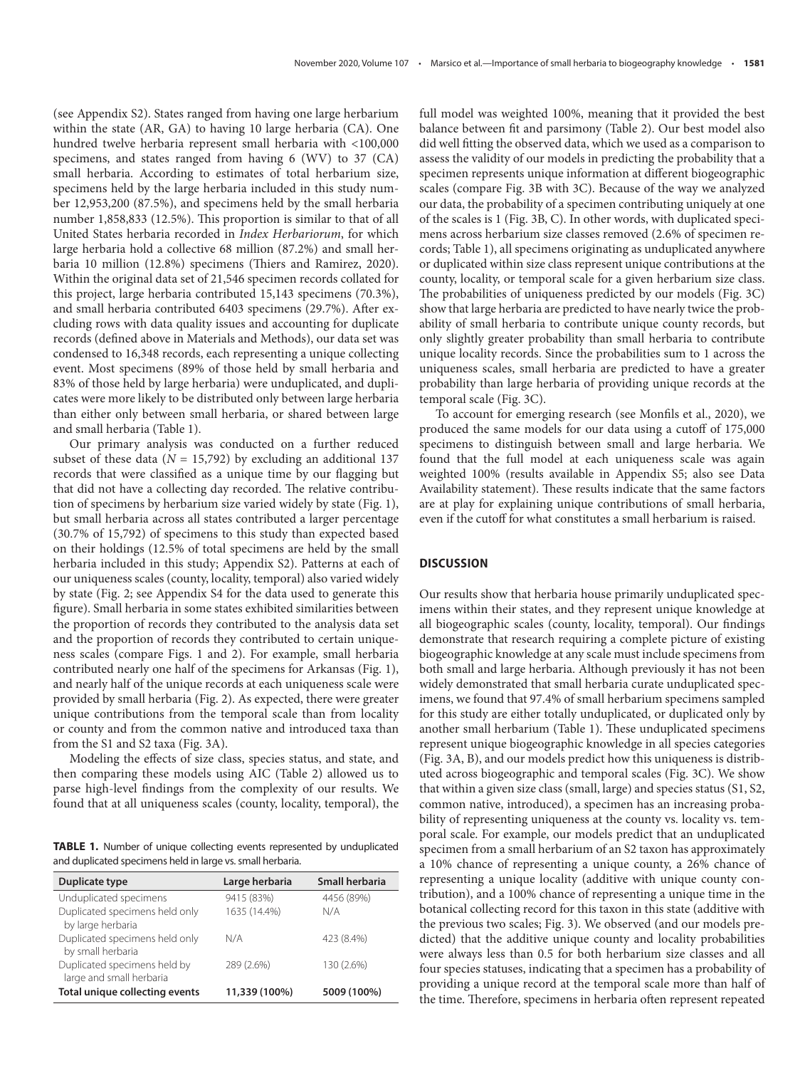(see Appendix S2). States ranged from having one large herbarium within the state (AR, GA) to having 10 large herbaria (CA). One hundred twelve herbaria represent small herbaria with <100,000 specimens, and states ranged from having 6 (WV) to 37 (CA) small herbaria. According to estimates of total herbarium size, specimens held by the large herbaria included in this study number 12,953,200 (87.5%), and specimens held by the small herbaria number 1,858,833 (12.5%). This proportion is similar to that of all United States herbaria recorded in *Index Herbariorum*, for which large herbaria hold a collective 68 million (87.2%) and small herbaria 10 million (12.8%) specimens (Thiers and Ramirez, 2020). Within the original data set of 21,546 specimen records collated for this project, large herbaria contributed 15,143 specimens (70.3%), and small herbaria contributed 6403 specimens (29.7%). After excluding rows with data quality issues and accounting for duplicate records (defined above in Materials and Methods), our data set was condensed to 16,348 records, each representing a unique collecting event. Most specimens (89% of those held by small herbaria and 83% of those held by large herbaria) were unduplicated, and duplicates were more likely to be distributed only between large herbaria than either only between small herbaria, or shared between large and small herbaria (Table 1).

Our primary analysis was conducted on a further reduced subset of these data  $(N = 15,792)$  by excluding an additional 137 records that were classified as a unique time by our flagging but that did not have a collecting day recorded. The relative contribution of specimens by herbarium size varied widely by state (Fig. 1), but small herbaria across all states contributed a larger percentage (30.7% of 15,792) of specimens to this study than expected based on their holdings (12.5% of total specimens are held by the small herbaria included in this study; Appendix S2). Patterns at each of our uniqueness scales (county, locality, temporal) also varied widely by state (Fig. 2; see Appendix S4 for the data used to generate this figure). Small herbaria in some states exhibited similarities between the proportion of records they contributed to the analysis data set and the proportion of records they contributed to certain uniqueness scales (compare Figs. 1 and 2). For example, small herbaria contributed nearly one half of the specimens for Arkansas (Fig. 1), and nearly half of the unique records at each uniqueness scale were provided by small herbaria (Fig. 2). As expected, there were greater unique contributions from the temporal scale than from locality or county and from the common native and introduced taxa than from the S1 and S2 taxa (Fig. 3A).

Modeling the effects of size class, species status, and state, and then comparing these models using AIC (Table 2) allowed us to parse high-level findings from the complexity of our results. We found that at all uniqueness scales (county, locality, temporal), the

**TABLE 1.** Number of unique collecting events represented by unduplicated and duplicated specimens held in large vs. small herbaria.

| Duplicate type                                           | Large herbaria | Small herbaria |
|----------------------------------------------------------|----------------|----------------|
| Unduplicated specimens                                   | 9415 (83%)     | 4456 (89%)     |
| Duplicated specimens held only<br>by large herbaria      | 1635 (14.4%)   | N/A            |
| Duplicated specimens held only<br>by small herbaria      | N/A            | 423 (8.4%)     |
| Duplicated specimens held by<br>large and small herbaria | 289 (2.6%)     | 130 (2.6%)     |
| Total unique collecting events                           | 11,339 (100%)  | 5009 (100%)    |

full model was weighted 100%, meaning that it provided the best balance between fit and parsimony (Table 2). Our best model also did well fitting the observed data, which we used as a comparison to assess the validity of our models in predicting the probability that a specimen represents unique information at different biogeographic scales (compare Fig. 3B with 3C). Because of the way we analyzed our data, the probability of a specimen contributing uniquely at one of the scales is 1 (Fig. 3B, C). In other words, with duplicated specimens across herbarium size classes removed (2.6% of specimen records; Table 1), all specimens originating as unduplicated anywhere or duplicated within size class represent unique contributions at the county, locality, or temporal scale for a given herbarium size class. The probabilities of uniqueness predicted by our models (Fig. 3C) show that large herbaria are predicted to have nearly twice the probability of small herbaria to contribute unique county records, but only slightly greater probability than small herbaria to contribute unique locality records. Since the probabilities sum to 1 across the uniqueness scales, small herbaria are predicted to have a greater probability than large herbaria of providing unique records at the temporal scale (Fig. 3C).

To account for emerging research (see Monfils et al., 2020), we produced the same models for our data using a cutoff of 175,000 specimens to distinguish between small and large herbaria. We found that the full model at each uniqueness scale was again weighted 100% (results available in Appendix S5; also see Data Availability statement). These results indicate that the same factors are at play for explaining unique contributions of small herbaria, even if the cutoff for what constitutes a small herbarium is raised.

## **DISCUSSION**

Our results show that herbaria house primarily unduplicated specimens within their states, and they represent unique knowledge at all biogeographic scales (county, locality, temporal). Our findings demonstrate that research requiring a complete picture of existing biogeographic knowledge at any scale must include specimens from both small and large herbaria. Although previously it has not been widely demonstrated that small herbaria curate unduplicated specimens, we found that 97.4% of small herbarium specimens sampled for this study are either totally unduplicated, or duplicated only by another small herbarium (Table 1). These unduplicated specimens represent unique biogeographic knowledge in all species categories (Fig. 3A, B), and our models predict how this uniqueness is distributed across biogeographic and temporal scales (Fig. 3C). We show that within a given size class (small, large) and species status (S1, S2, common native, introduced), a specimen has an increasing probability of representing uniqueness at the county vs. locality vs. temporal scale. For example, our models predict that an unduplicated specimen from a small herbarium of an S2 taxon has approximately a 10% chance of representing a unique county, a 26% chance of representing a unique locality (additive with unique county contribution), and a 100% chance of representing a unique time in the botanical collecting record for this taxon in this state (additive with the previous two scales; Fig. 3). We observed (and our models predicted) that the additive unique county and locality probabilities were always less than 0.5 for both herbarium size classes and all four species statuses, indicating that a specimen has a probability of providing a unique record at the temporal scale more than half of the time. Therefore, specimens in herbaria often represent repeated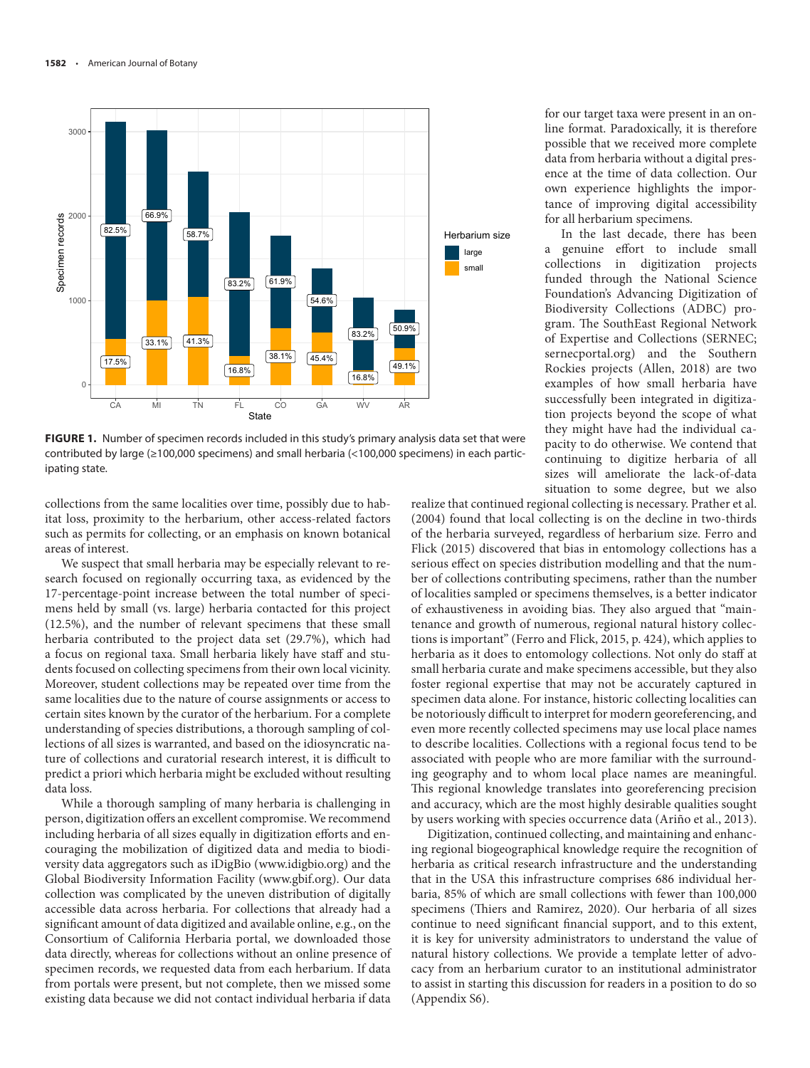

**FIGURE 1.** Number of specimen records included in this study's primary analysis data set that were contributed by large (≥100,000 specimens) and small herbaria (<100,000 specimens) in each participating state.

collections from the same localities over time, possibly due to habitat loss, proximity to the herbarium, other access-related factors such as permits for collecting, or an emphasis on known botanical areas of interest.

We suspect that small herbaria may be especially relevant to research focused on regionally occurring taxa, as evidenced by the 17-percentage-point increase between the total number of specimens held by small (vs. large) herbaria contacted for this project (12.5%), and the number of relevant specimens that these small herbaria contributed to the project data set (29.7%), which had a focus on regional taxa. Small herbaria likely have staff and students focused on collecting specimens from their own local vicinity. Moreover, student collections may be repeated over time from the same localities due to the nature of course assignments or access to certain sites known by the curator of the herbarium. For a complete understanding of species distributions, a thorough sampling of collections of all sizes is warranted, and based on the idiosyncratic nature of collections and curatorial research interest, it is difficult to predict a priori which herbaria might be excluded without resulting data loss.

While a thorough sampling of many herbaria is challenging in person, digitization offers an excellent compromise. We recommend including herbaria of all sizes equally in digitization efforts and encouraging the mobilization of digitized data and media to biodiversity data aggregators such as iDigBio ([www.idigbio.org](http://www.idigbio.org)) and the Global Biodiversity Information Facility ([www.gbif.org](http://www.gbif.org)). Our data collection was complicated by the uneven distribution of digitally accessible data across herbaria. For collections that already had a significant amount of data digitized and available online, e.g., on the Consortium of California Herbaria portal, we downloaded those data directly, whereas for collections without an online presence of specimen records, we requested data from each herbarium. If data from portals were present, but not complete, then we missed some existing data because we did not contact individual herbaria if data

for our target taxa were present in an online format. Paradoxically, it is therefore possible that we received more complete data from herbaria without a digital presence at the time of data collection. Our own experience highlights the importance of improving digital accessibility for all herbarium specimens.

In the last decade, there has been a genuine effort to include small collections in digitization projects funded through the National Science Foundation's Advancing Digitization of Biodiversity Collections (ADBC) program. The SouthEast Regional Network of Expertise and Collections (SERNEC; sernecportal.org) and the Southern Rockies projects (Allen, 2018) are two examples of how small herbaria have successfully been integrated in digitization projects beyond the scope of what they might have had the individual capacity to do otherwise. We contend that continuing to digitize herbaria of all sizes will ameliorate the lack-of-data situation to some degree, but we also

realize that continued regional collecting is necessary. Prather et al. (2004) found that local collecting is on the decline in two-thirds of the herbaria surveyed, regardless of herbarium size. Ferro and Flick (2015) discovered that bias in entomology collections has a serious effect on species distribution modelling and that the number of collections contributing specimens, rather than the number of localities sampled or specimens themselves, is a better indicator of exhaustiveness in avoiding bias. They also argued that "maintenance and growth of numerous, regional natural history collections is important" (Ferro and Flick, 2015, p. 424), which applies to herbaria as it does to entomology collections. Not only do staff at small herbaria curate and make specimens accessible, but they also foster regional expertise that may not be accurately captured in specimen data alone. For instance, historic collecting localities can be notoriously difficult to interpret for modern georeferencing, and even more recently collected specimens may use local place names to describe localities. Collections with a regional focus tend to be associated with people who are more familiar with the surrounding geography and to whom local place names are meaningful. This regional knowledge translates into georeferencing precision and accuracy, which are the most highly desirable qualities sought by users working with species occurrence data (Ariño et al., 2013).

Digitization, continued collecting, and maintaining and enhancing regional biogeographical knowledge require the recognition of herbaria as critical research infrastructure and the understanding that in the USA this infrastructure comprises 686 individual herbaria, 85% of which are small collections with fewer than 100,000 specimens (Thiers and Ramirez, 2020). Our herbaria of all sizes continue to need significant financial support, and to this extent, it is key for university administrators to understand the value of natural history collections. We provide a template letter of advocacy from an herbarium curator to an institutional administrator to assist in starting this discussion for readers in a position to do so (Appendix S6).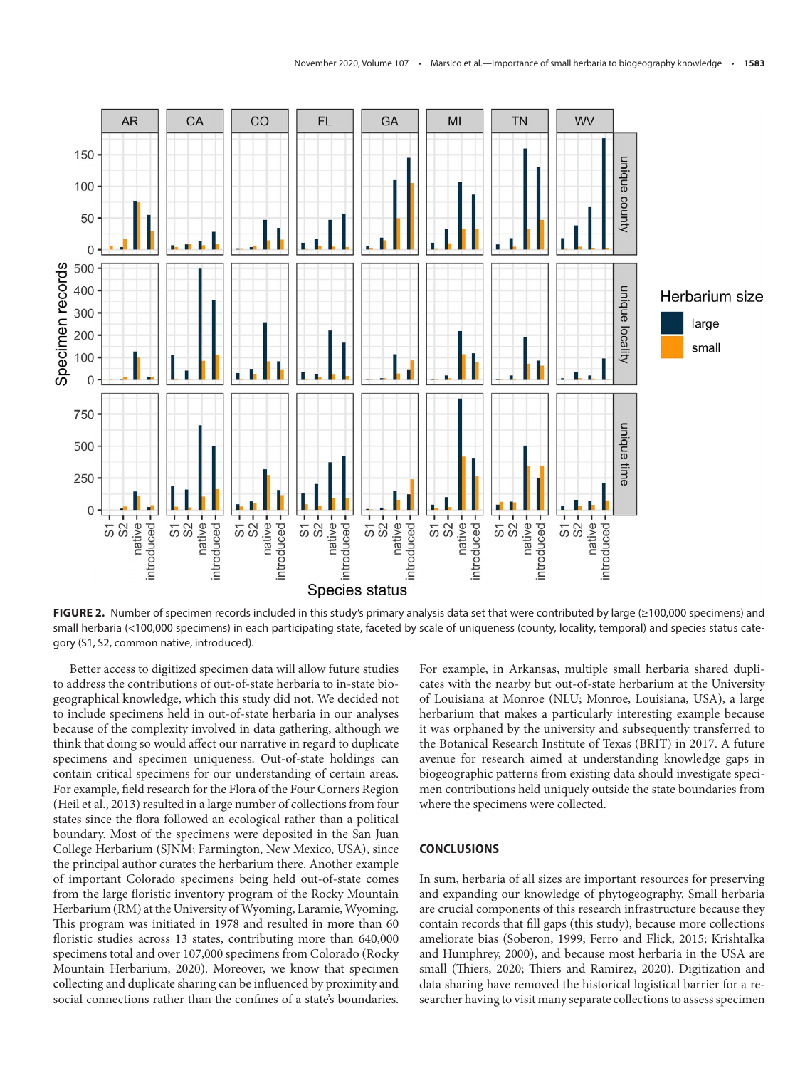

**FIGURE 2.** Number of specimen records included in this study's primary analysis data set that were contributed by large (≥100,000 specimens) and small herbaria (<100,000 specimens) in each participating state, faceted by scale of uniqueness (county, locality, temporal) and species status category (S1, S2, common native, introduced).

Better access to digitized specimen data will allow future studies to address the contributions of out-of-state herbaria to in-state biogeographical knowledge, which this study did not. We decided not to include specimens held in out-of-state herbaria in our analyses because of the complexity involved in data gathering, although we think that doing so would affect our narrative in regard to duplicate specimens and specimen uniqueness. Out-of-state holdings can contain critical specimens for our understanding of certain areas. For example, field research for the Flora of the Four Corners Region (Heil et al., 2013) resulted in a large number of collections from four states since the flora followed an ecological rather than a political boundary. Most of the specimens were deposited in the San Juan College Herbarium (SJNM; Farmington, New Mexico, USA), since the principal author curates the herbarium there. Another example of important Colorado specimens being held out-of-state comes from the large floristic inventory program of the Rocky Mountain Herbarium (RM) at the University of Wyoming, Laramie, Wyoming. This program was initiated in 1978 and resulted in more than 60 floristic studies across 13 states, contributing more than 640,000 specimens total and over 107,000 specimens from Colorado (Rocky Mountain Herbarium, 2020). Moreover, we know that specimen collecting and duplicate sharing can be influenced by proximity and social connections rather than the confines of a state's boundaries.

For example, in Arkansas, multiple small herbaria shared duplicates with the nearby but out-of-state herbarium at the University of Louisiana at Monroe (NLU; Monroe, Louisiana, USA), a large herbarium that makes a particularly interesting example because it was orphaned by the university and subsequently transferred to the Botanical Research Institute of Texas (BRIT) in 2017. A future avenue for research aimed at understanding knowledge gaps in biogeographic patterns from existing data should investigate specimen contributions held uniquely outside the state boundaries from where the specimens were collected.

## **CONCLUSIONS**

In sum, herbaria of all sizes are important resources for preserving and expanding our knowledge of phytogeography. Small herbaria are crucial components of this research infrastructure because they contain records that fill gaps (this study), because more collections ameliorate bias (Soberon, 1999; Ferro and Flick, 2015; Krishtalka and Humphrey, 2000), and because most herbaria in the USA are small (Thiers, 2020; Thiers and Ramirez, 2020). Digitization and data sharing have removed the historical logistical barrier for a researcher having to visit many separate collections to assess specimen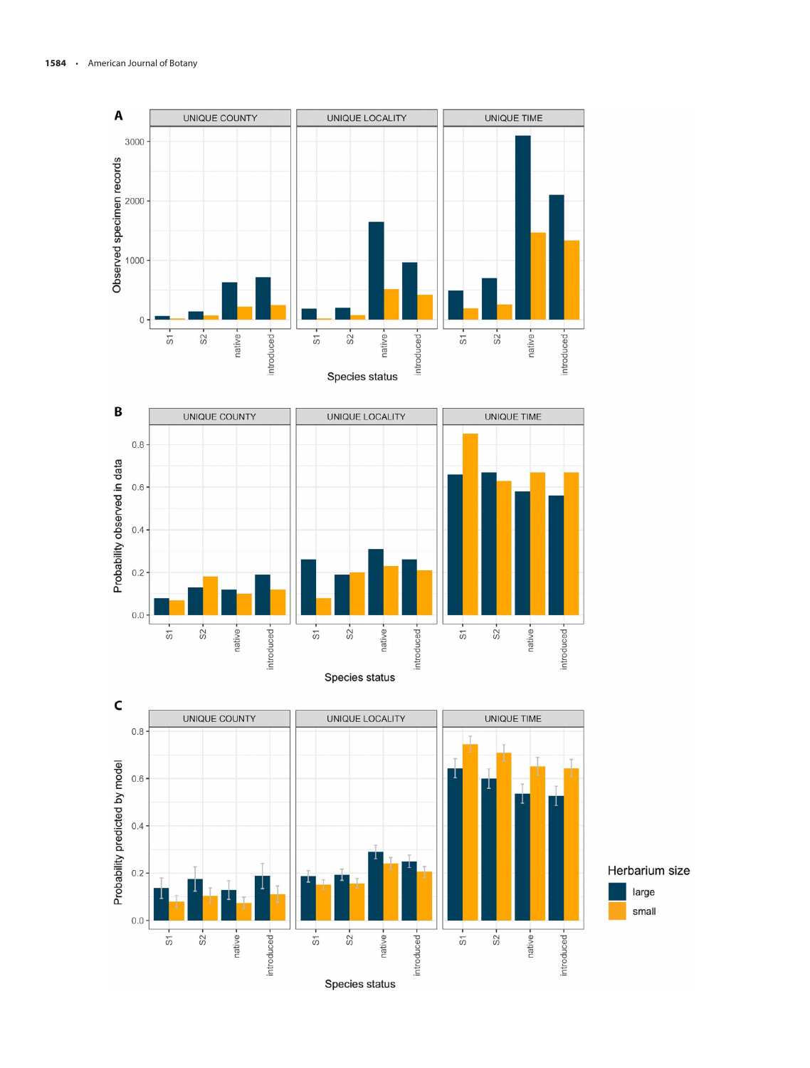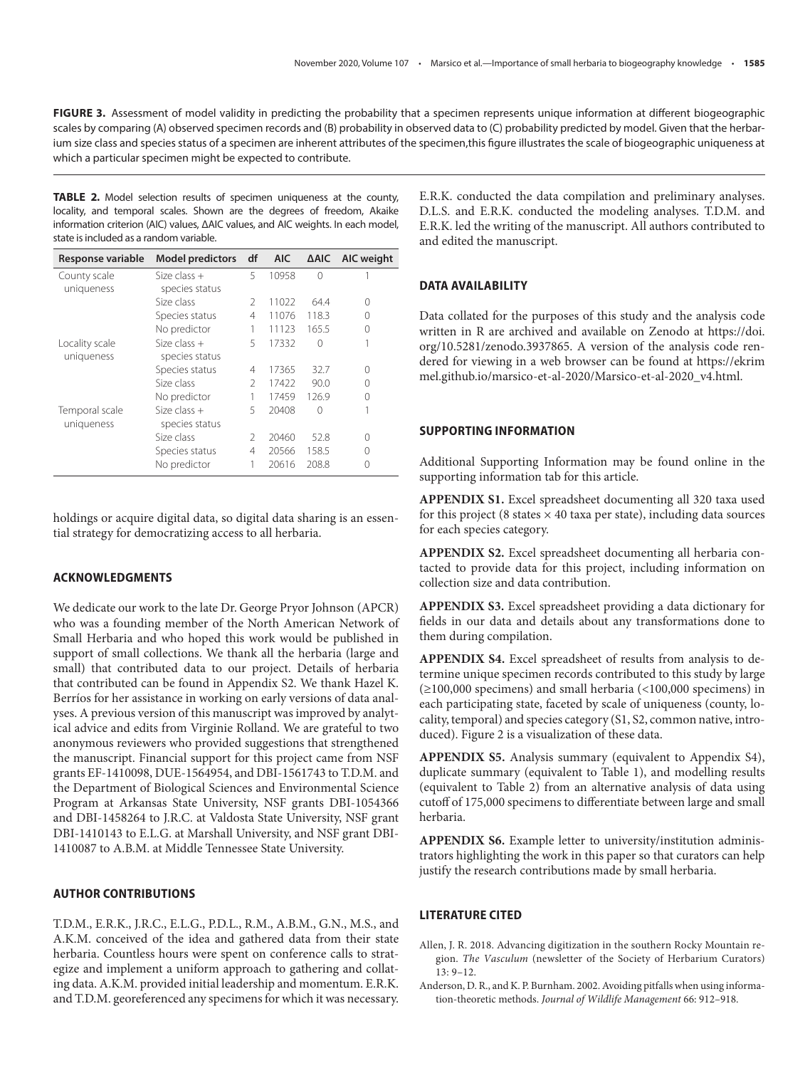FIGURE 3. Assessment of model validity in predicting the probability that a specimen represents unique information at different biogeographic scales by comparing (A) observed specimen records and (B) probability in observed data to (C) probability predicted by model. Given that the herbarium size class and species status of a specimen are inherent attributes of the specimen,this figure illustrates the scale of biogeographic uniqueness at which a particular specimen might be expected to contribute.

**TABLE 2.** Model selection results of specimen uniqueness at the county, locality, and temporal scales. Shown are the degrees of freedom, Akaike information criterion (AIC) values, ΔAIC values, and AIC weights. In each model, state is included as a random variable.

| Response variable | <b>Model predictors</b> | df             | <b>AIC</b> | <b>AAIC</b> | AIC weight |
|-------------------|-------------------------|----------------|------------|-------------|------------|
| County scale      | Size class $+$          | 5              | 10958      | $\Omega$    |            |
| uniqueness        | species status          |                |            |             |            |
|                   | Size class              | $\mathcal{P}$  | 11022      | 64.4        | $\bigcap$  |
|                   | Species status          | 4              | 11076      | 118.3       | $\bigcap$  |
|                   | No predictor            |                | 11123      | 165.5       | $\Omega$   |
| Locality scale    | Size class $+$          | 5              | 17332      | 0           |            |
| uniqueness        | species status          |                |            |             |            |
|                   | Species status          | 4              | 17365      | 32.7        | $\Omega$   |
|                   | Size class              | $\mathfrak{D}$ | 17422      | 90.0        | $\Omega$   |
|                   | No predictor            |                | 17459      | 126.9       | $\cap$     |
| Temporal scale    | Size class $+$          | 5              | 20408      | 0           |            |
| uniqueness        | species status          |                |            |             |            |
|                   | Size class              | $\mathfrak{D}$ | 20460      | 52.8        | $\Omega$   |
|                   | Species status          | 4              | 20566      | 158.5       | 0          |
|                   | No predictor            |                | 20616      | 208.8       | 0          |

holdings or acquire digital data, so digital data sharing is an essential strategy for democratizing access to all herbaria.

## **ACKNOWLEDGMENTS**

We dedicate our work to the late Dr. George Pryor Johnson (APCR) who was a founding member of the North American Network of Small Herbaria and who hoped this work would be published in support of small collections. We thank all the herbaria (large and small) that contributed data to our project. Details of herbaria that contributed can be found in Appendix S2. We thank Hazel K. Berríos for her assistance in working on early versions of data analyses. A previous version of this manuscript was improved by analytical advice and edits from Virginie Rolland. We are grateful to two anonymous reviewers who provided suggestions that strengthened the manuscript. Financial support for this project came from NSF grants EF-1410098, DUE-1564954, and DBI-1561743 to T.D.M. and the Department of Biological Sciences and Environmental Science Program at Arkansas State University, NSF grants DBI-1054366 and DBI-1458264 to J.R.C. at Valdosta State University, NSF grant DBI-1410143 to E.L.G. at Marshall University, and NSF grant DBI-1410087 to A.B.M. at Middle Tennessee State University.

### **AUTHOR CONTRIBUTIONS**

T.D.M., E.R.K., J.R.C., E.L.G., P.D.L., R.M., A.B.M., G.N., M.S., and A.K.M. conceived of the idea and gathered data from their state herbaria. Countless hours were spent on conference calls to strategize and implement a uniform approach to gathering and collating data. A.K.M. provided initial leadership and momentum. E.R.K. and T.D.M. georeferenced any specimens for which it was necessary. E.R.K. conducted the data compilation and preliminary analyses. D.L.S. and E.R.K. conducted the modeling analyses. T.D.M. and E.R.K. led the writing of the manuscript. All authors contributed to and edited the manuscript.

### **DATA AVAILABILITY**

Data collated for the purposes of this study and the analysis code written in R are archived and available on Zenodo at [https://doi.](https://doi.org/10.5281/zenodo.3937865) [org/10.5281/zenodo.3937865.](https://doi.org/10.5281/zenodo.3937865) A version of the analysis code rendered for viewing in a web browser can be found at [https://ekrim](https://ekrimmel.github.io/marsico-et-al-2020/Marsico-et-al-2020_v4.html) [mel.github.io/marsico-et-al-2020/Marsico-et-al-2020\\_v4.html.](https://ekrimmel.github.io/marsico-et-al-2020/Marsico-et-al-2020_v4.html)

## **SUPPORTING INFORMATION**

Additional Supporting Information may be found online in the supporting information tab for this article.

**APPENDIX S1.** Excel spreadsheet documenting all 320 taxa used for this project (8 states  $\times$  40 taxa per state), including data sources for each species category.

**APPENDIX S2.** Excel spreadsheet documenting all herbaria contacted to provide data for this project, including information on collection size and data contribution.

**APPENDIX S3.** Excel spreadsheet providing a data dictionary for fields in our data and details about any transformations done to them during compilation.

**APPENDIX S4.** Excel spreadsheet of results from analysis to determine unique specimen records contributed to this study by large (≥100,000 specimens) and small herbaria (<100,000 specimens) in each participating state, faceted by scale of uniqueness (county, locality, temporal) and species category (S1, S2, common native, introduced). Figure 2 is a visualization of these data.

**APPENDIX S5.** Analysis summary (equivalent to Appendix S4), duplicate summary (equivalent to Table 1), and modelling results (equivalent to Table 2) from an alternative analysis of data using cutoff of 175,000 specimens to differentiate between large and small herbaria.

**APPENDIX S6.** Example letter to university/institution administrators highlighting the work in this paper so that curators can help justify the research contributions made by small herbaria.

#### **LITERATURE CITED**

- Allen, J. R. 2018. Advancing digitization in the southern Rocky Mountain region. *The Vasculum* (newsletter of the Society of Herbarium Curators) 13: 9–12.
- Anderson, D. R., and K. P. Burnham. 2002. Avoiding pitfalls when using information-theoretic methods. *Journal of Wildlife Management* 66: 912–918.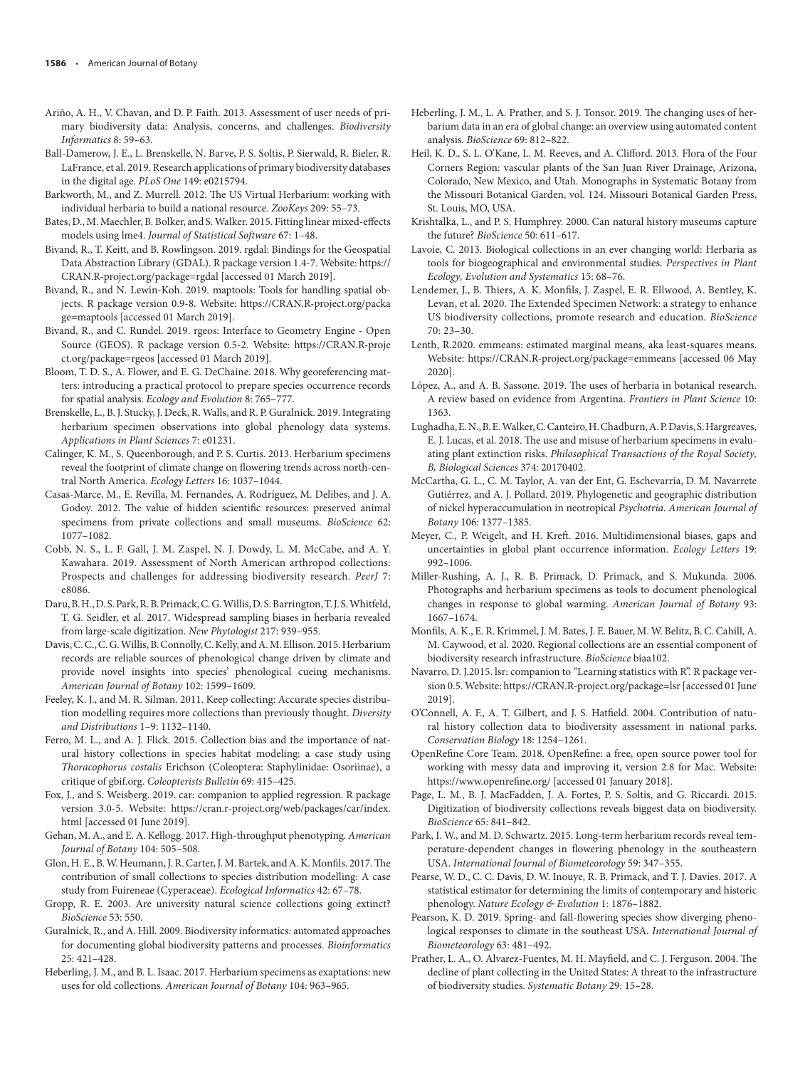- Ariño, A. H., V. Chavan, and D. P. Faith. 2013. Assessment of user needs of primary biodiversity data: Analysis, concerns, and challenges. *Biodiversity Informatics* 8: 59–63.
- Ball-Damerow, J. E., L. Brenskelle, N. Barve, P. S. Soltis, P. Sierwald, R. Bieler, R. LaFrance, et al. 2019. Research applications of primary biodiversity databases in the digital age. *PLoS One* 149: e0215794.
- Barkworth, M., and Z. Murrell. 2012. The US Virtual Herbarium: working with individual herbaria to build a national resource. *ZooKeys* 209: 55–73.
- Bates, D., M. Maechler, B. Bolker, and S. Walker. 2015. Fitting linear mixed-effects models using lme4. *Journal of Statistical Software* 67: 1–48.
- Bivand, R., T. Keitt, and B. Rowlingson. 2019. rgdal: Bindings for the Geospatial Data Abstraction Library (GDAL). R package version 1.4-7. Website: [https://](https://CRAN.R-project.org/package=rgdal) [CRAN.R-project.org/package=rgdal](https://CRAN.R-project.org/package=rgdal) [accessed 01 March 2019].
- Bivand, R., and N. Lewin-Koh. 2019. maptools: Tools for handling spatial objects. R package version 0.9-8. Website: [https://CRAN.R-project.org/packa](https://CRAN.R-project.org/package=maptools) [ge=maptools](https://CRAN.R-project.org/package=maptools) [accessed 01 March 2019].
- Bivand, R., and C. Rundel. 2019. rgeos: Interface to Geometry Engine Open Source (GEOS). R package version 0.5-2. Website: [https://CRAN.R-proje](https://CRAN.R-project.org/package=rgeos) [ct.org/package=rgeos](https://CRAN.R-project.org/package=rgeos) [accessed 01 March 2019].
- Bloom, T. D. S., A. Flower, and E. G. DeChaine. 2018. Why georeferencing matters: introducing a practical protocol to prepare species occurrence records for spatial analysis. *Ecology and Evolution* 8: 765–777.
- Brenskelle, L., B. J. Stucky, J. Deck, R. Walls, and R. P. Guralnick. 2019. Integrating herbarium specimen observations into global phenology data systems. *Applications in Plant Sciences* 7: e01231.
- Calinger, K. M., S. Queenborough, and P. S. Curtis. 2013. Herbarium specimens reveal the footprint of climate change on flowering trends across north-central North America. *Ecology Letters* 16: 1037–1044.
- Casas-Marce, M., E. Revilla, M. Fernandes, A. Rodríguez, M. Delibes, and J. A. Godoy. 2012. The value of hidden scientific resources: preserved animal specimens from private collections and small museums. *BioScience* 62: 1077–1082.
- Cobb, N. S., L. F. Gall, J. M. Zaspel, N. J. Dowdy, L. M. McCabe, and A. Y. Kawahara. 2019. Assessment of North American arthropod collections: Prospects and challenges for addressing biodiversity research. *PeerJ* 7: e8086.
- Daru, B. H., D. S. Park, R. B. Primack, C. G. Willis, D. S. Barrington, T. J. S. Whitfeld, T. G. Seidler, et al. 2017. Widespread sampling biases in herbaria revealed from large-scale digitization. *New Phytologist* 217: 939–955.
- Davis, C. C., C. G. Willis, B. Connolly, C. Kelly, and A. M. Ellison. 2015. Herbarium records are reliable sources of phenological change driven by climate and provide novel insights into species' phenological cueing mechanisms. *American Journal of Botany* 102: 1599–1609.
- Feeley, K. J., and M. R. Silman. 2011. Keep collecting: Accurate species distribution modelling requires more collections than previously thought. *Diversity and Distributions* 1–9: 1132–1140.
- Ferro, M. L., and A. J. Flick. 2015. Collection bias and the importance of natural history collections in species habitat modeling: a case study using *Thoracophorus costalis* Erichson (Coleoptera: Staphylinidae: Osoriinae), a critique of gbif.org. *Coleopterists Bulletin* 69: 415–425.
- Fox, J., and S. Weisberg. 2019. car: companion to applied regression. R package version 3.0-5. Website: [https://cran.r-project.org/web/packages/car/index.](https://cran.r-project.org/web/packages/car/index.html) [html](https://cran.r-project.org/web/packages/car/index.html) [accessed 01 June 2019].
- Gehan, M. A., and E. A. Kellogg. 2017. High-throughput phenotyping. *American Journal of Botany* 104: 505–508.
- Glon, H. E., B. W. Heumann, J. R. Carter, J. M. Bartek, and A. K. Monfils. 2017. The contribution of small collections to species distribution modelling: A case study from Fuireneae (Cyperaceae). *Ecological Informatics* 42: 67–78.
- Gropp, R. E. 2003. Are university natural science collections going extinct? *BioScience* 53: 550.
- Guralnick, R., and A. Hill. 2009. Biodiversity informatics: automated approaches for documenting global biodiversity patterns and processes. *Bioinformatics* 25: 421–428.
- Heberling, J. M., and B. L. Isaac. 2017. Herbarium specimens as exaptations: new uses for old collections. *American Journal of Botany* 104: 963–965.
- Heberling, J. M., L. A. Prather, and S. J. Tonsor. 2019. The changing uses of herbarium data in an era of global change: an overview using automated content analysis. *BioScience* 69: 812–822.
- Heil, K. D., S. L. O'Kane, L. M. Reeves, and A. Clifford. 2013. Flora of the Four Corners Region: vascular plants of the San Juan River Drainage, Arizona, Colorado, New Mexico, and Utah. Monographs in Systematic Botany from the Missouri Botanical Garden, vol. 124. Missouri Botanical Garden Press, St. Louis, MO, USA.
- Krishtalka, L., and P. S. Humphrey. 2000. Can natural history museums capture the future? *BioScience* 50: 611–617.
- Lavoie, C. 2013. Biological collections in an ever changing world: Herbaria as tools for biogeographical and environmental studies. *Perspectives in Plant Ecology, Evolution and Systematics* 15: 68–76.
- Lendemer, J., B. Thiers, A. K. Monfils, J. Zaspel, E. R. Ellwood, A. Bentley, K. Levan, et al. 2020. The Extended Specimen Network: a strategy to enhance US biodiversity collections, promote research and education. *BioScience* 70: 23–30.
- Lenth, R.2020. emmeans: estimated marginal means, aka least-squares means. Website: <https://CRAN.R-project.org/package=emmeans>[accessed 06 May 2020].
- López, A., and A. B. Sassone. 2019. The uses of herbaria in botanical research. A review based on evidence from Argentina. *Frontiers in Plant Science* 10: 1363.
- Lughadha, E. N., B. E. Walker, C. Canteiro, H. Chadburn, A. P. Davis, S. Hargreaves, E. J. Lucas, et al. 2018. The use and misuse of herbarium specimens in evaluating plant extinction risks. *Philosophical Transactions of the Royal Society, B, Biological Sciences* 374: 20170402.
- McCartha, G. L., C. M. Taylor, A. van der Ent, G. Eschevarria, D. M. Navarrete Gutiérrez, and A. J. Pollard. 2019. Phylogenetic and geographic distribution of nickel hyperaccumulation in neotropical *Psychotria*. *American Journal of Botany* 106: 1377–1385.
- Meyer, C., P. Weigelt, and H. Kreft. 2016. Multidimensional biases, gaps and uncertainties in global plant occurrence information. *Ecology Letters* 19: 992–1006.
- Miller-Rushing, A. J., R. B. Primack, D. Primack, and S. Mukunda. 2006. Photographs and herbarium specimens as tools to document phenological changes in response to global warming. *American Journal of Botany* 93: 1667–1674.
- Monfils, A. K., E. R. Krimmel, J. M. Bates, J. E. Bauer, M. W. Belitz, B. C. Cahill, A. M. Caywood, et al. 2020. Regional collections are an essential component of biodiversity research infrastructure. *BioScience* biaa102.
- Navarro, D. J.2015. lsr: companion to "Learning statistics with R". R package version 0.5. Website:<https://CRAN.R-project.org/package=lsr> [accessed 01 June 2019].
- O'Connell, A. F., A. T. Gilbert, and J. S. Hatfield. 2004. Contribution of natural history collection data to biodiversity assessment in national parks. *Conservation Biology* 18: 1254–1261.
- OpenRefine Core Team. 2018. OpenRefine: a free, open source power tool for working with messy data and improving it, version 2.8 for Mac. Website: <https://www.openrefine.org/>[accessed 01 January 2018].
- Page, L. M., B. J. MacFadden, J. A. Fortes, P. S. Soltis, and G. Riccardi. 2015. Digitization of biodiversity collections reveals biggest data on biodiversity. *BioScience* 65: 841–842.
- Park, I. W., and M. D. Schwartz. 2015. Long-term herbarium records reveal temperature-dependent changes in flowering phenology in the southeastern USA. *International Journal of Biometeorology* 59: 347–355.
- Pearse, W. D., C. C. Davis, D. W. Inouye, R. B. Primack, and T. J. Davies. 2017. A statistical estimator for determining the limits of contemporary and historic phenology. *Nature Ecology & Evolution* 1: 1876–1882.
- Pearson, K. D. 2019. Spring- and fall-flowering species show diverging phenological responses to climate in the southeast USA. *International Journal of Biometeorology* 63: 481–492.
- Prather, L. A., O. Alvarez-Fuentes, M. H. Mayfield, and C. J. Ferguson. 2004. The decline of plant collecting in the United States: A threat to the infrastructure of biodiversity studies. *Systematic Botany* 29: 15–28.